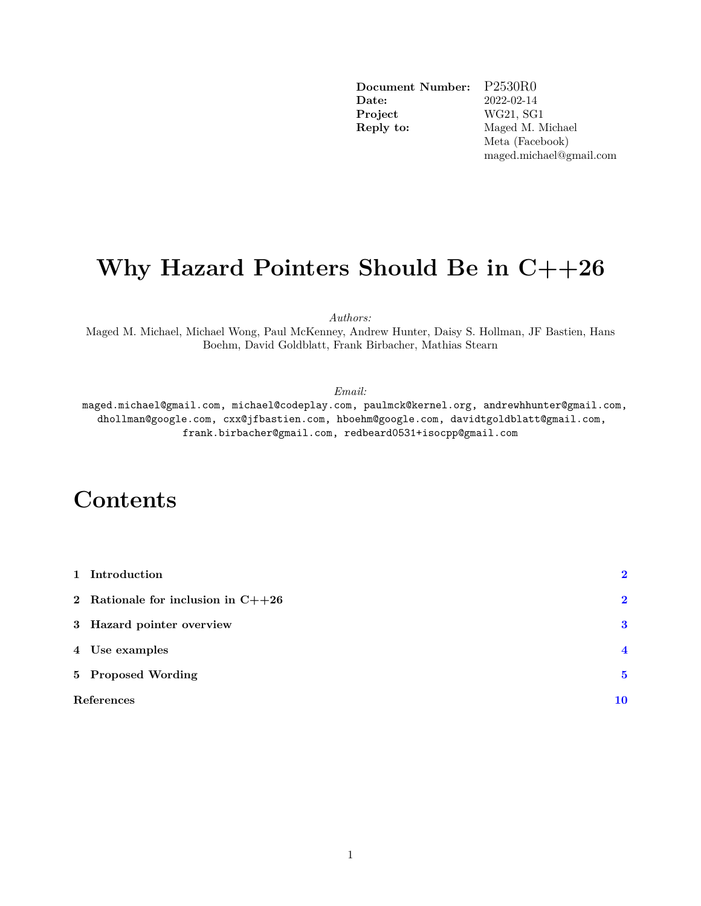**Document Number:** P2530R0 **Date:** 2022-02-14 **Project** WG21, SG1 **Reply to:** Maged M. Michael Meta (Facebook) maged.michael@gmail.com

# <span id="page-0-0"></span>**Why Hazard Pointers Should Be in C++26**

*Authors:*

Maged M. Michael, Michael Wong, Paul McKenney, Andrew Hunter, Daisy S. Hollman, JF Bastien, Hans Boehm, David Goldblatt, Frank Birbacher, Mathias Stearn

*Email:*

maged.michael@gmail.com, michael@codeplay.com, paulmck@kernel.org, andrewhhunter@gmail.com, dhollman@google.com, cxx@jfbastien.com, hboehm@google.com, davidtgoldblatt@gmail.com, frank.birbacher@gmail.com, redbeard0531+isocpp@gmail.com

# **Contents**

|            | 1 Introduction                       | $\overline{\mathbf{2}}$ |
|------------|--------------------------------------|-------------------------|
|            | 2 Rationale for inclusion in $C++26$ | $\mathbf{2}$            |
|            | 3 Hazard pointer overview            | 3                       |
|            | 4 Use examples                       | $\overline{\mathbf{4}}$ |
|            | 5 Proposed Wording                   | $\overline{\mathbf{5}}$ |
| References |                                      | 10                      |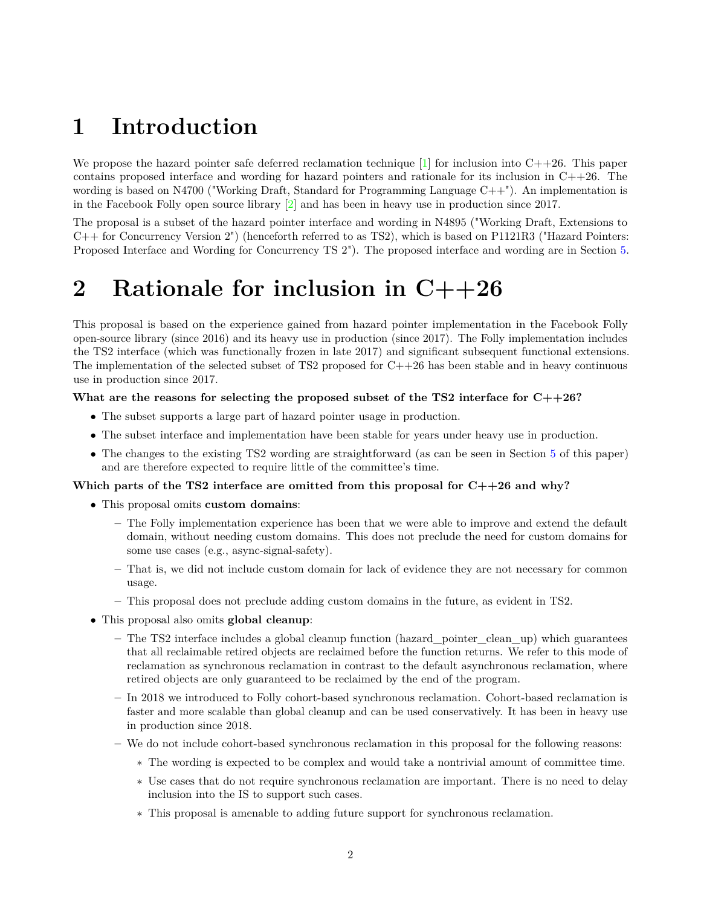# <span id="page-1-0"></span>**1 Introduction**

We propose the hazard pointer safe deferred reclamation technique  $[1]$  for inclusion into  $C++26$ . This paper contains proposed interface and wording for hazard pointers and rationale for its inclusion in  $C++26$ . The wording is based on N4700 ("Working Draft, Standard for Programming Language  $C++$ "). An implementation is in the Facebook Folly open source library [\[2\]](#page-9-2) and has been in heavy use in production since 2017.

The proposal is a subset of the hazard pointer interface and wording in N4895 ("Working Draft, Extensions to C++ for Concurrency Version 2") (henceforth referred to as TS2), which is based on P1121R3 ("Hazard Pointers: Proposed Interface and Wording for Concurrency TS 2"). The proposed interface and wording are in Section [5.](#page-4-0)

# <span id="page-1-1"></span>**2 Rationale for inclusion in C++26**

This proposal is based on the experience gained from hazard pointer implementation in the Facebook Folly open-source library (since 2016) and its heavy use in production (since 2017). The Folly implementation includes the TS2 interface (which was functionally frozen in late 2017) and significant subsequent functional extensions. The implementation of the selected subset of TS2 proposed for  $C++26$  has been stable and in heavy continuous use in production since 2017.

### **What are the reasons for selecting the proposed subset of the TS2 interface for C++26?**

- The subset supports a large part of hazard pointer usage in production.
- The subset interface and implementation have been stable for years under heavy use in production.
- The changes to the existing TS2 wording are straightforward (as can be seen in Section [5](#page-4-0) of this paper) and are therefore expected to require little of the committee's time.

## **Which parts of the TS2 interface are omitted from this proposal for C++26 and why?**

- This proposal omits **custom domains**:
	- **–** The Folly implementation experience has been that we were able to improve and extend the default domain, without needing custom domains. This does not preclude the need for custom domains for some use cases (e.g., async-signal-safety).
	- **–** That is, we did not include custom domain for lack of evidence they are not necessary for common usage.
	- **–** This proposal does not preclude adding custom domains in the future, as evident in TS2.
- This proposal also omits **global cleanup**:
	- **–** The TS2 interface includes a global cleanup function (hazard\_pointer\_clean\_up) which guarantees that all reclaimable retired objects are reclaimed before the function returns. We refer to this mode of reclamation as synchronous reclamation in contrast to the default asynchronous reclamation, where retired objects are only guaranteed to be reclaimed by the end of the program.
	- **–** In 2018 we introduced to Folly cohort-based synchronous reclamation. Cohort-based reclamation is faster and more scalable than global cleanup and can be used conservatively. It has been in heavy use in production since 2018.
	- **–** We do not include cohort-based synchronous reclamation in this proposal for the following reasons:
		- ∗ The wording is expected to be complex and would take a nontrivial amount of committee time.
		- ∗ Use cases that do not require synchronous reclamation are important. There is no need to delay inclusion into the IS to support such cases.
		- ∗ This proposal is amenable to adding future support for synchronous reclamation.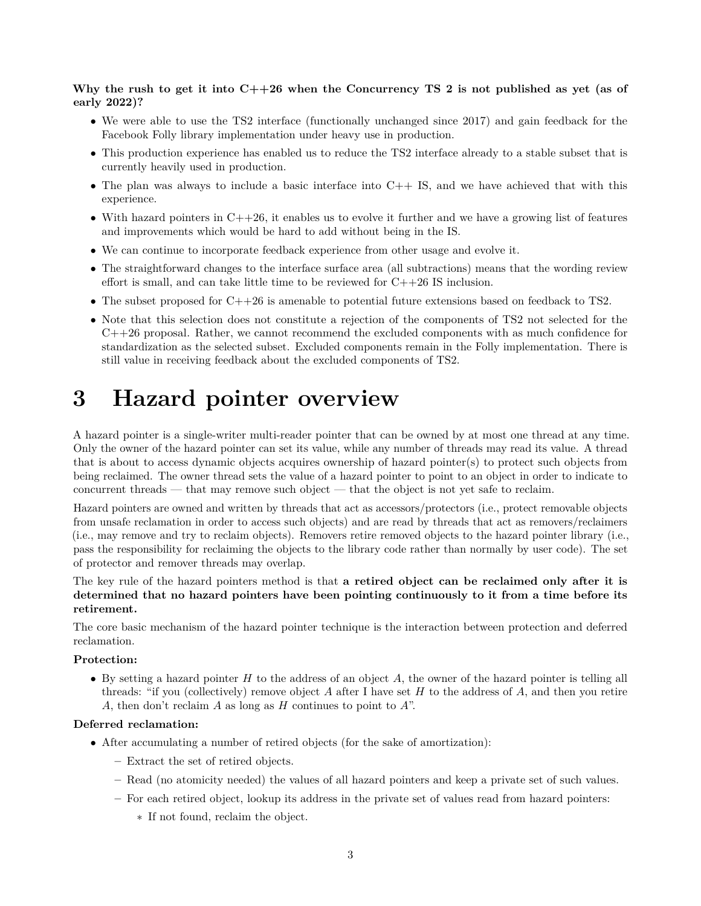## **Why the rush to get it into C++26 when the Concurrency TS 2 is not published as yet (as of early 2022)?**

- We were able to use the TS2 interface (functionally unchanged since 2017) and gain feedback for the Facebook Folly library implementation under heavy use in production.
- This production experience has enabled us to reduce the TS2 interface already to a stable subset that is currently heavily used in production.
- The plan was always to include a basic interface into  $C++$  IS, and we have achieved that with this experience.
- With hazard pointers in  $C++26$ , it enables us to evolve it further and we have a growing list of features and improvements which would be hard to add without being in the IS.
- We can continue to incorporate feedback experience from other usage and evolve it.
- The straightforward changes to the interface surface area (all subtractions) means that the wording review effort is small, and can take little time to be reviewed for C++26 IS inclusion.
- The subset proposed for  $C++26$  is amenable to potential future extensions based on feedback to TS2.
- Note that this selection does not constitute a rejection of the components of TS2 not selected for the C++26 proposal. Rather, we cannot recommend the excluded components with as much confidence for standardization as the selected subset. Excluded components remain in the Folly implementation. There is still value in receiving feedback about the excluded components of TS2.

# <span id="page-2-0"></span>**3 Hazard pointer overview**

A hazard pointer is a single-writer multi-reader pointer that can be owned by at most one thread at any time. Only the owner of the hazard pointer can set its value, while any number of threads may read its value. A thread that is about to access dynamic objects acquires ownership of hazard pointer(s) to protect such objects from being reclaimed. The owner thread sets the value of a hazard pointer to point to an object in order to indicate to concurrent threads — that may remove such object — that the object is not yet safe to reclaim.

Hazard pointers are owned and written by threads that act as accessors/protectors (i.e., protect removable objects from unsafe reclamation in order to access such objects) and are read by threads that act as removers/reclaimers (i.e., may remove and try to reclaim objects). Removers retire removed objects to the hazard pointer library (i.e., pass the responsibility for reclaiming the objects to the library code rather than normally by user code). The set of protector and remover threads may overlap.

The key rule of the hazard pointers method is that **a retired object can be reclaimed only after it is determined that no hazard pointers have been pointing continuously to it from a time before its retirement.**

The core basic mechanism of the hazard pointer technique is the interaction between protection and deferred reclamation.

## **Protection:**

• By setting a hazard pointer *H* to the address of an object *A*, the owner of the hazard pointer is telling all threads: "if you (collectively) remove object *A* after I have set *H* to the address of *A*, and then you retire *A*, then don't reclaim *A* as long as *H* continues to point to *A*".

### **Deferred reclamation:**

- After accumulating a number of retired objects (for the sake of amortization):
	- **–** Extract the set of retired objects.
	- **–** Read (no atomicity needed) the values of all hazard pointers and keep a private set of such values.
	- **–** For each retired object, lookup its address in the private set of values read from hazard pointers:
		- ∗ If not found, reclaim the object.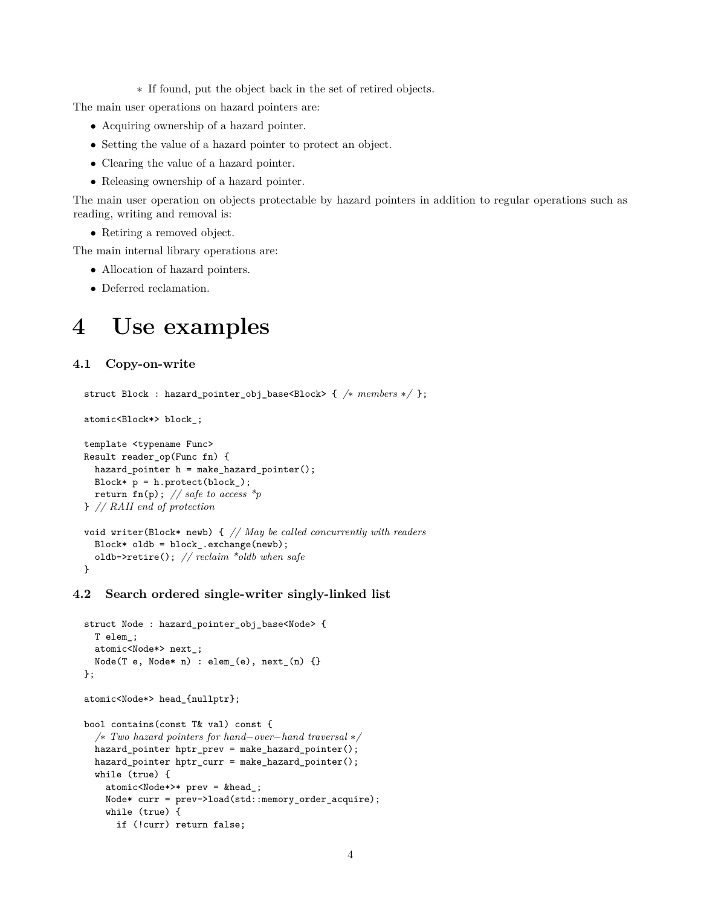∗ If found, put the object back in the set of retired objects.

The main user operations on hazard pointers are:

- Acquiring ownership of a hazard pointer.
- Setting the value of a hazard pointer to protect an object.
- Clearing the value of a hazard pointer.
- Releasing ownership of a hazard pointer.

The main user operation on objects protectable by hazard pointers in addition to regular operations such as reading, writing and removal is:

• Retiring a removed object.

The main internal library operations are:

- Allocation of hazard pointers.
- <span id="page-3-0"></span>• Deferred reclamation.

# **4 Use examples**

## **4.1 Copy-on-write**

```
struct Block : hazard_pointer_obj_base<Block> { /∗ members ∗/ };
```
atomic<Block\*> block\_;

```
template <typename Func>
Result reader_op(Func fn) {
  hazard_pointer h = make_hazard_pointer();
  Block* p = h.protect(block_);
  return fn(p); // safe to access *p
} // RAII end of protection
void writer(Block* newb) { // May be called concurrently with readers
  Block* oldb = block_.exchange(newb);
  oldb->retire(); // reclaim *oldb when safe
```

```
}
```
## **4.2 Search ordered single-writer singly-linked list**

```
struct Node : hazard_pointer_obj_base<Node> {
  T elem_;
  atomic<Node*> next_;
  Node(T e, Node* n) : elem(e), next(n) {}};
atomic<Node*> head_{nullptr};
bool contains(const T& val) const {
  /∗ Two hazard pointers for hand−over−hand traversal ∗/
  hazard_pointer hptr_prev = make_hazard_pointer();
  hazard_pointer hptr_curr = make_hazard_pointer();
  while (true) {
    atomic<Node*>* prev = &head_;
    Node* curr = prev->load(std::memory_order_acquire);
    while (true) {
      if (!curr) return false;
```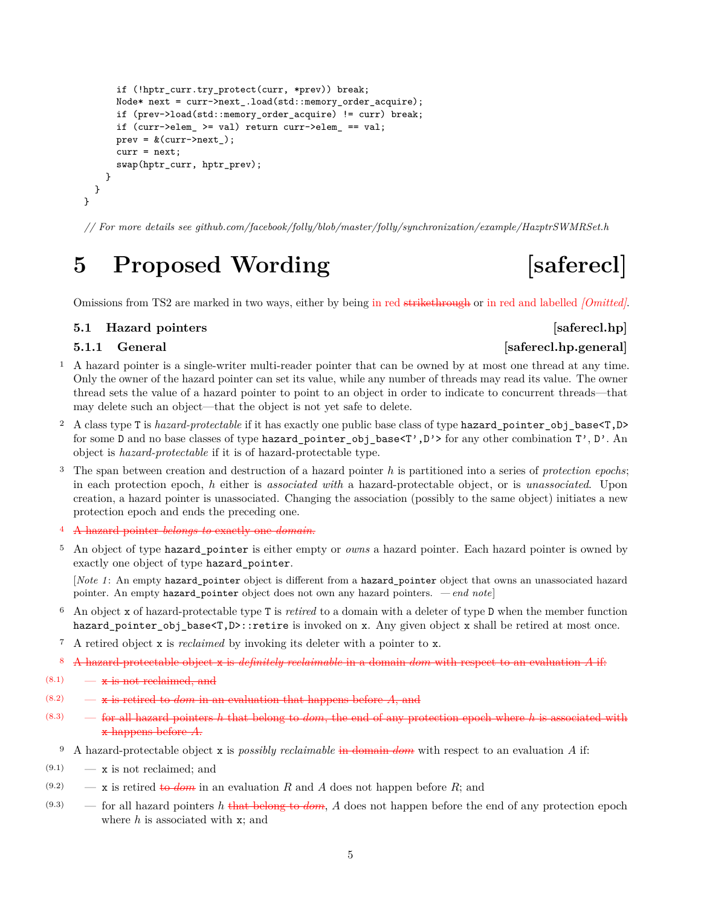```
if (!hptr_curr.try_protect(curr, *prev)) break;
      Node* next = curr->next_.load(std::memory_order_acquire);
      if (prev->load(std::memory_order_acquire) != curr) break;
      if (curr->elem_ >= val) return curr->elem_ == val;
      prev = <math>\&</math>(curr-&gt;next);
      curr = next;
      swap(hptr_curr, hptr_prev);
    }
 }
}
```
<span id="page-4-0"></span>*// For more details see github.com/facebook/folly/blob/master/folly/synchronization/example/HazptrSWMRSet.h*

# **5 Proposed Wording [saferecl]**

Omissions from TS2 are marked in two ways, either by being in red strikethrough or in red and labelled *[Omitted]*.

## **5.1 Hazard pointers** [saferecl.hp]

# **5.1.1** General *General Saferecl.hp.general*

- <sup>1</sup> A hazard pointer is a single-writer multi-reader pointer that can be owned by at most one thread at any time. Only the owner of the hazard pointer can set its value, while any number of threads may read its value. The owner thread sets the value of a hazard pointer to point to an object in order to indicate to concurrent threads—that may delete such an object—that the object is not yet safe to delete.
- <sup>2</sup> A class type T is *hazard-protectable* if it has exactly one public base class of type hazard pointer obj base<T,D> for some D and no base classes of type hazard\_pointer\_obj\_base<T',D'> for any other combination T', D'. An object is *hazard-protectable* if it is of hazard-protectable type.
- <sup>3</sup> The span between creation and destruction of a hazard pointer *h* is partitioned into a series of *protection epochs*; in each protection epoch, *h* either is *associated with* a hazard-protectable object, or is *unassociated*. Upon creation, a hazard pointer is unassociated. Changing the association (possibly to the same object) initiates a new protection epoch and ends the preceding one.
- <sup>4</sup> A hazard pointer *belongs to* exactly one *domain*.
- <sup>5</sup> An object of type hazard\_pointer is either empty or *owns* a hazard pointer. Each hazard pointer is owned by exactly one object of type hazard\_pointer.

[*Note 1* : An empty hazard\_pointer object is different from a hazard\_pointer object that owns an unassociated hazard pointer. An empty hazard\_pointer object does not own any hazard pointers. *— end note*]

- <sup>6</sup> An object x of hazard-protectable type T is *retired* to a domain with a deleter of type D when the member function hazard pointer obj base<T,D>::retire is invoked on x. Any given object x shall be retired at most once.
- <sup>7</sup> A retired object x is *reclaimed* by invoking its deleter with a pointer to x.
- <sup>8</sup> A hazard-protectable object x is *definitely reclaimable* in a domain *dom* with respect to an evaluation *A* if:
- $(8.1)$   $\overline{\mathbf{x}}$  is not reclaimed, and
- $(8.2)$   $\qquad$   $\qquad$   $\qquad$   $\qquad$  **x** is retired to *dom* in an evaluation that happens before *A*, and
- (8.3) for all hazard pointers *h* that belong to *dom*, the end of any protection epoch where *h* is associated with x happens before *A*.
	- <sup>9</sup> A hazard-protectable object x is *possibly reclaimable* in domain *dom* with respect to an evaluation *A* if:
- $(9.1)$  x is not reclaimed; and
- $(9.2)$  x is retired to *dom* in an evaluation *R* and *A* does not happen before *R*; and
- $(9.3)$  for all hazard pointers *h* that belong to *dom*, *A* does not happen before the end of any protection epoch where *h* is associated with x; and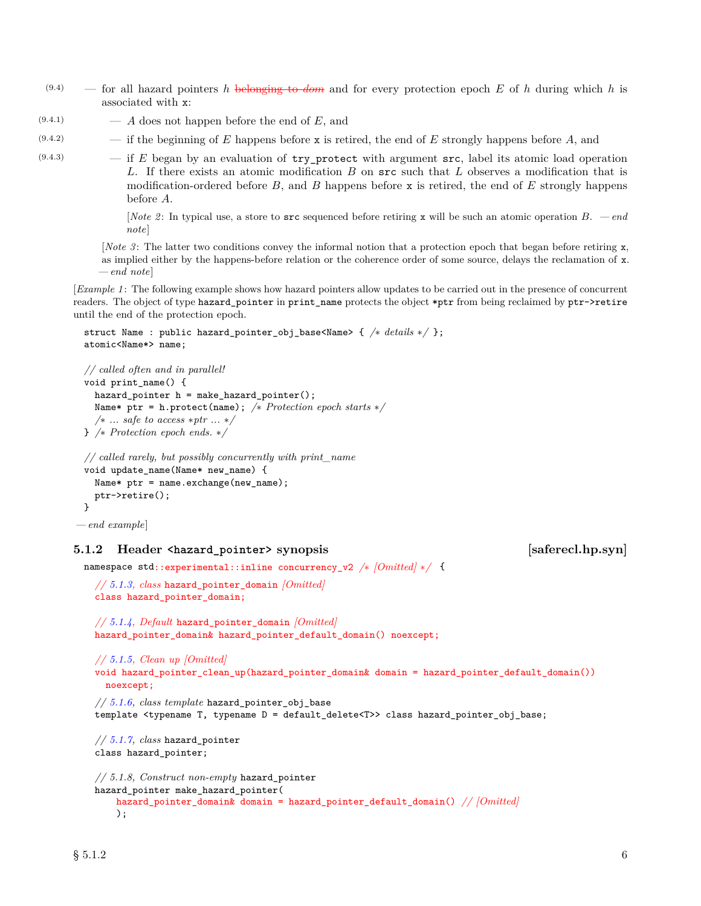- $(9.4)$  for all hazard pointers *h* belonging to *dom* and for every protection epoch *E* of *h* during which *h* is associated with x:
- $(9.4.1)$   $A$  does not happen before the end of  $E$ , and
- (9.4.2) if the beginning of *E* happens before x is retired, the end of *E* strongly happens before *A*, and
- (9.4.3) if *E* began by an evaluation of try\_protect with argument src, label its atomic load operation *L*. If there exists an atomic modification *B* on src such that *L* observes a modification that is modification-ordered before *B*, and *B* happens before x is retired, the end of *E* strongly happens before *A*.

[*Note 2* : In typical use, a store to src sequenced before retiring x will be such an atomic operation *B*. *— end note*]

[*Note 3* : The latter two conditions convey the informal notion that a protection epoch that began before retiring x, as implied either by the happens-before relation or the coherence order of some source, delays the reclamation of x. *— end note*]

[*Example 1* : The following example shows how hazard pointers allow updates to be carried out in the presence of concurrent readers. The object of type hazard\_pointer in print\_name protects the object \*ptr from being reclaimed by ptr->retire until the end of the protection epoch.

```
struct Name : public hazard_pointer_obj_base<Name> { /∗ details ∗/ };
atomic<Name*> name;
```

```
// called often and in parallel!
void print_name() {
  hazard_pointer h = make_hazard_pointer();
  Name* ptr = h.protect(name); /∗ Protection epoch starts ∗/
  /∗ ... safe to access ∗ptr ... ∗/
} /∗ Protection epoch ends. ∗/
```

```
// called rarely, but possibly concurrently with print_name
void update_name(Name* new_name) {
```

```
Name* ptr = name.exchange(new_name);
 ptr->retire();
}
```

```
— end example]
```
### **5.1.2** Header **state of the synopsis** [saferecl.hp.syn]

```
namespace std { ::experimental::inline concurrency_v2 /∗ [Omitted] ∗/
```

```
// 5.1.3, class hazard_pointer_domain [Omitted]
class hazard_pointer_domain;
```

```
// 5.1.4, Default hazard_pointer_domain [Omitted]
hazard_pointer_domain& hazard_pointer_default_domain() noexcept;
```

```
// 5.1.5, Clean up [Omitted]
void hazard_pointer_clean_up(hazard_pointer_domain& domain = hazard_pointer_default_domain())
  noexcept;
// 5.1.6, class template hazard_pointer_obj_base
template <typename T, typename D = default_delete<T>> class hazard_pointer_obj_base;
```

```
// 5.1.7, class hazard_pointer
class hazard_pointer;
```

```
// 5.1.8, Construct non-empty hazard_pointer
hazard_pointer make_hazard_pointer(
   hazard_pointer_domain& domain = hazard_pointer_default_domain() // [Omitted]
    );
```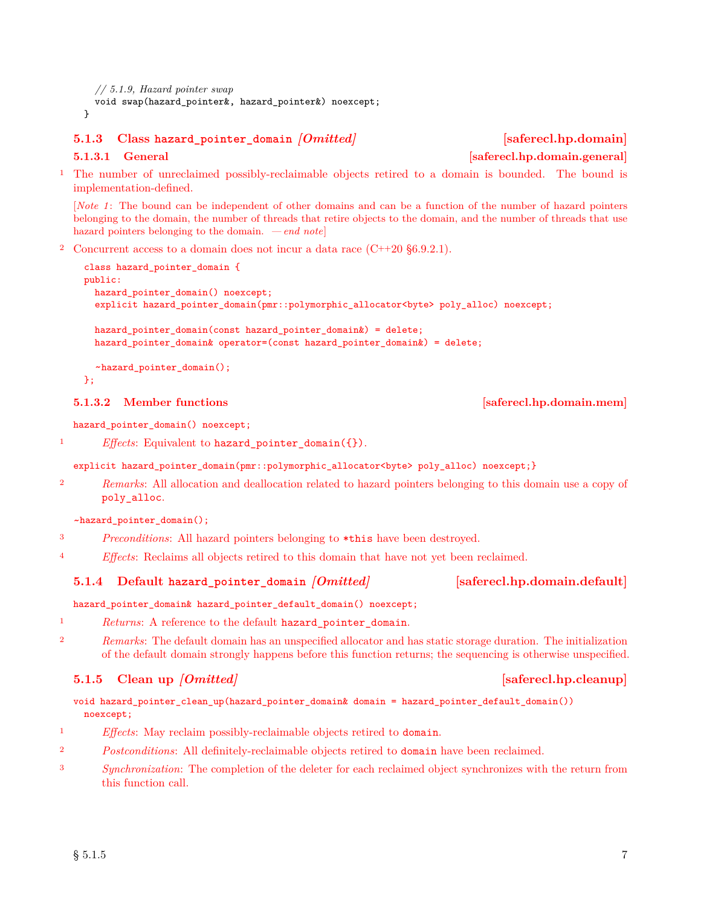*// 5.1.9, Hazard pointer swap* void swap(hazard\_pointer&, hazard\_pointer&) noexcept; }

## <span id="page-6-0"></span>**5.1.3 Class hazard\_pointer\_domain** *[Omitted]* **[saferecl.hp.domain]**

<sup>1</sup> The number of unreclaimed possibly-reclaimable objects retired to a domain is bounded. The bound is implementation-defined.

[*Note 1* : The bound can be independent of other domains and can be a function of the number of hazard pointers belonging to the domain, the number of threads that retire objects to the domain, and the number of threads that use hazard pointers belonging to the domain. *— end note*]

<sup>2</sup> Concurrent access to a domain does not incur a data race  $(C+20 \text{ §}6.9.2.1)$ .

```
class hazard_pointer_domain {
public:
  hazard pointer domain() noexcept;
  explicit hazard_pointer_domain(pmr::polymorphic_allocator<br/><br/>byte> poly_alloc) noexcept;
  hazard_pointer_domain(const hazard_pointer_domain&) = delete;
  hazard_pointer_domain& operator=(const hazard_pointer_domain&) = delete;
  ~hazard_pointer_domain();
};
```
hazard\_pointer\_domain() noexcept;

<sup>1</sup> *Effects*: Equivalent to hazard\_pointer\_domain({}).

### explicit hazard\_pointer\_domain(pmr::polymorphic\_allocator<byte> poly\_alloc) noexcept;}

<sup>2</sup> *Remarks*: All allocation and deallocation related to hazard pointers belonging to this domain use a copy of poly\_alloc.

~hazard\_pointer\_domain();

- <sup>3</sup> *Preconditions*: All hazard pointers belonging to \*this have been destroyed.
- <sup>4</sup> *Effects*: Reclaims all objects retired to this domain that have not yet been reclaimed.

### <span id="page-6-1"></span>**5.1.4 Default hazard\_pointer\_domain** *[Omitted]* **[saferecl.hp.domain.default]**

hazard\_pointer\_domain& hazard\_pointer\_default\_domain() noexcept;

- <sup>1</sup> *Returns*: A reference to the default hazard\_pointer\_domain.
- <sup>2</sup> *Remarks*: The default domain has an unspecified allocator and has static storage duration. The initialization of the default domain strongly happens before this function returns; the sequencing is otherwise unspecified.

# <span id="page-6-2"></span>**5.1.5 Clean up** *[Omitted]* **[saferecl.hp.cleanup]**

void hazard pointer clean up(hazard pointer domain& domain = hazard pointer default domain()) noexcept;

- <sup>1</sup> *Effects*: May reclaim possibly-reclaimable objects retired to domain.
- <sup>2</sup> *Postconditions*: All definitely-reclaimable objects retired to domain have been reclaimed.
- <sup>3</sup> *Synchronization*: The completion of the deleter for each reclaimed object synchronizes with the return from this function call.

## **5.1.3.2** Member functions **and Solutions [Saferecl.hp.domain.mem]**

# **5.1.3.1 General Community Community Community Community Community Community Community Community Community Community Community Community Community Community Community Community Community Community Community Community Commu**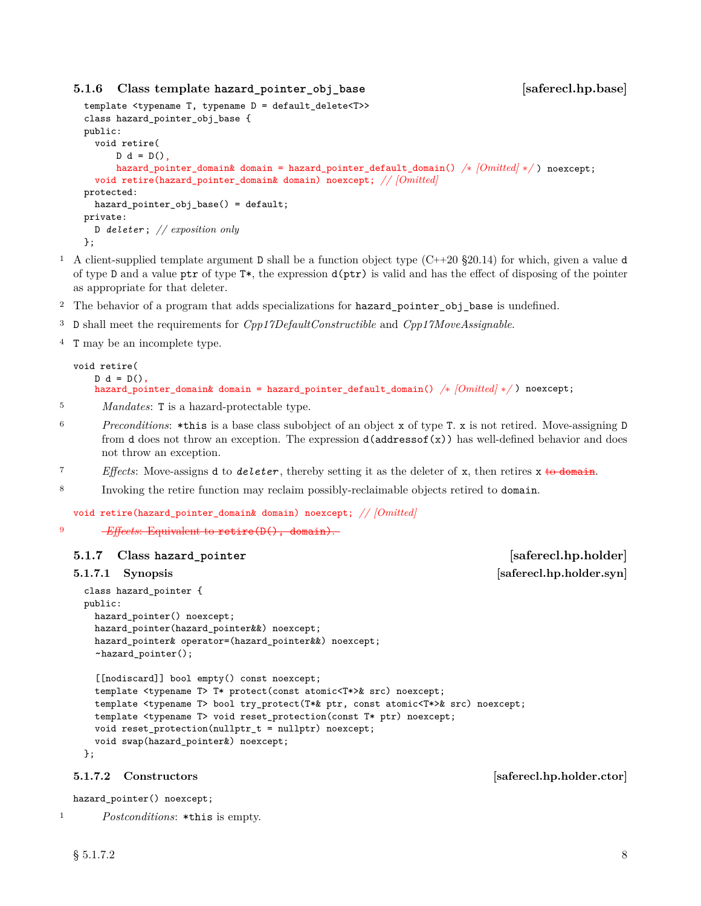# <span id="page-7-0"></span>**5.1.6 Class template hazard\_pointer\_obj\_base [saferecl.hp.base]**

```
template <typename T, typename D = default_delete<T>>
class hazard_pointer_obj_base {
public:
  void retire(
      D d = D()hazard_pointer_domain& domain = hazard_pointer_default_domain() /∗ [Omitted] ∗/ ) noexcept;
  void retire(hazard_pointer_domain& domain) noexcept; // [Omitted]
protected:
 hazard_pointer_obj_base() = default;
private:
  D deleter ; // exposition only
};
```
- <sup>1</sup> A client-supplied template argument **D** shall be a function object type  $(C+20 \text{ §}20.14)$  for which, given a value **d** of type D and a value ptr of type  $T^*$ , the expression  $d(ptr)$  is valid and has the effect of disposing of the pointer as appropriate for that deleter.
- <sup>2</sup> The behavior of a program that adds specializations for hazard\_pointer\_obj\_base is undefined.
- <sup>3</sup> D shall meet the requirements for *Cpp17DefaultConstructible* and *Cpp17MoveAssignable*.
- <sup>4</sup> T may be an incomplete type.

```
void retire(
   D d = D(),
   hazard_pointer_domain& domain = hazard_pointer_default_domain() /∗ [Omitted] ∗/ ) noexcept;
```
- <sup>5</sup> *Mandates*: T is a hazard-protectable type.
- <sup>6</sup> *Preconditions*: \*this is a base class subobject of an object x of type T. x is not retired. Move-assigning D from d does not throw an exception. The expression d(addressof(x)) has well-defined behavior and does not throw an exception.
- <sup>7</sup> *Effects*: Move-assigns d to *deleter* , thereby setting it as the deleter of x, then retires x to domain.
- <sup>8</sup> Invoking the retire function may reclaim possibly-reclaimable objects retired to domain.

void retire(hazard\_pointer\_domain& domain) noexcept; *// [Omitted]*

9 **Effects:** Equivalent to retire(D(), domain).

### **5.1.7 Class hazard\_pointer [saferecl.hp.holder]**

```
class hazard_pointer {
public:
 hazard_pointer() noexcept;
 hazard_pointer(hazard_pointer&&) noexcept;
 hazard_pointer& operator=(hazard_pointer&&) noexcept;
 ~hazard_pointer();
```

```
[[nodiscard]] bool empty() const noexcept;
template <typename T> T* protect(const atomic<T*>& src) noexcept;
template <typename T> bool try_protect(T*& ptr, const atomic<T*>& src) noexcept;
template <typename T> void reset_protection(const T* ptr) noexcept;
void reset_protection(nullptr_t = nullptr) noexcept;
void swap(hazard_pointer&) noexcept;
```
**5.1.7.2** Constructors *Saferecl.hp.holder.ctor* 

hazard\_pointer() noexcept;

<sup>1</sup> *Postconditions*: \*this is empty.

};

<span id="page-7-1"></span>**5.1.7.1** Synopsis [saferecl.hp.holder.syn]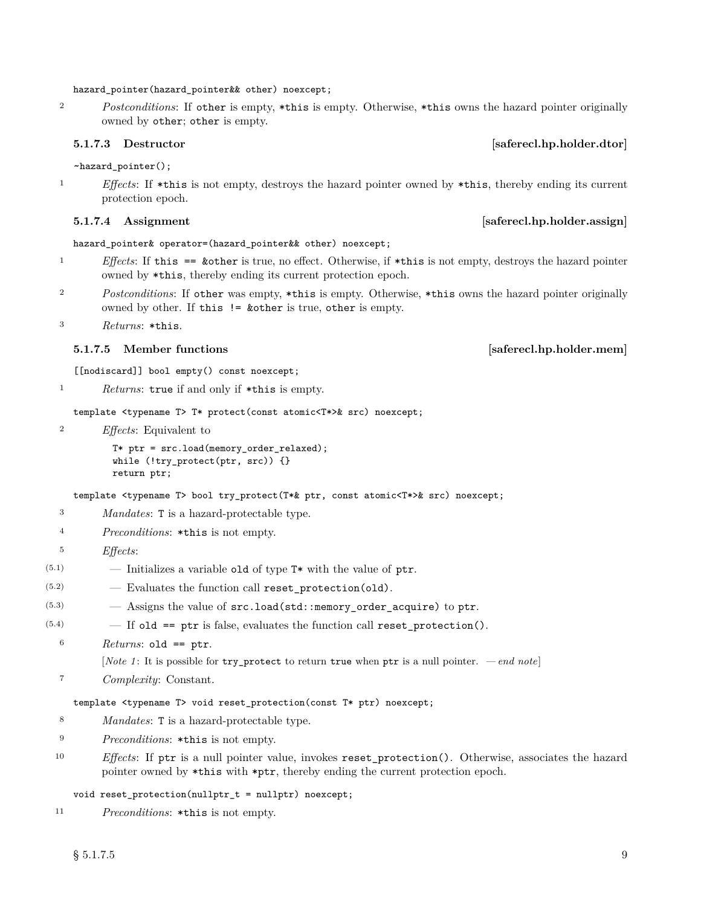### hazard\_pointer(hazard\_pointer&& other) noexcept;

<sup>2</sup> *Postconditions*: If other is empty, \*this is empty. Otherwise, \*this owns the hazard pointer originally owned by other; other is empty.

## **5.1.7.3** Destructor *Saferecl.hp.holder.dtor*

~hazard\_pointer();

<sup>1</sup> *Effects*: If \*this is not empty, destroys the hazard pointer owned by \*this, thereby ending its current protection epoch.

### **5.1.7.4** Assignment **and Solution Example 2.1.7.4** Assignment *safered.hp.holder.assign*

### hazard\_pointer& operator=(hazard\_pointer&& other) noexcept;

- <sup>1</sup> *Effects*: If this == &other is true, no effect. Otherwise, if \*this is not empty, destroys the hazard pointer owned by \*this, thereby ending its current protection epoch.
- <sup>2</sup> *Postconditions*: If other was empty, \*this is empty. Otherwise, \*this owns the hazard pointer originally owned by other. If this != &other is true, other is empty.

```
3 Returns: *this.
```
### **5.1.7.5** Member functions *Member functions Saferecl.hp.holder.mem*

[[nodiscard]] bool empty() const noexcept;

<sup>1</sup> *Returns*: true if and only if \*this is empty.

template <typename T> T\* protect(const atomic<T\*>& src) noexcept;

<sup>2</sup> *Effects*: Equivalent to

```
T* ptr = src.load(memory_order_relaxed);
while (!try_protect(ptr, src)) {}
return ptr;
```
template <typename T> bool try\_protect(T\*& ptr, const atomic<T\*>& src) noexcept;

- <sup>3</sup> *Mandates*: T is a hazard-protectable type.
- <sup>4</sup> *Preconditions*: \*this is not empty.
- <sup>5</sup> *Effects*:
- $(5.1)$  Initializes a variable old of type  $T^*$  with the value of ptr.
- $(5.2)$   $-$  Evaluates the function call reset\_protection(old).
- $(5.3)$  Assigns the value of  $src.load(std::memory order acquire)$  to ptr.
- $(5.4)$  If old == ptr is false, evaluates the function call reset protection().
	- <sup>6</sup> *Returns*: old == ptr.

[*Note 1* : It is possible for try\_protect to return true when ptr is a null pointer. *— end note*]

<sup>7</sup> *Complexity*: Constant.

template <typename T> void reset\_protection(const T\* ptr) noexcept;

- <sup>8</sup> *Mandates*: T is a hazard-protectable type.
- <sup>9</sup> *Preconditions*: \*this is not empty.
- <sup>10</sup> *Effects*: If ptr is a null pointer value, invokes reset\_protection(). Otherwise, associates the hazard pointer owned by \*this with \*ptr, thereby ending the current protection epoch.

void reset\_protection(nullptr\_t = nullptr) noexcept;

<sup>11</sup> *Preconditions*: \*this is not empty.